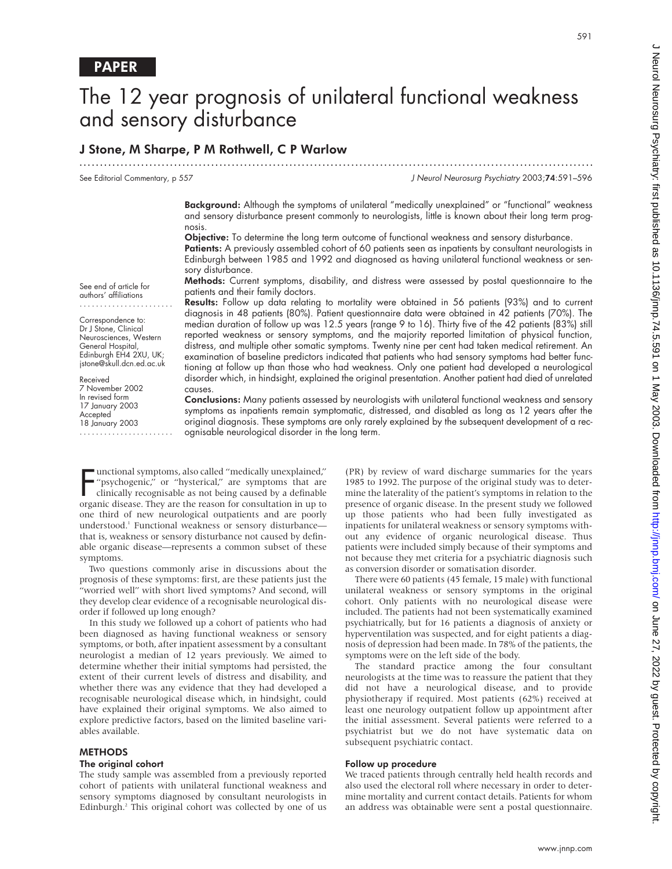# The 12 year prognosis of unilateral functional weakness and sensory disturbance

# J Stone, M Sharpe, P M Rothwell, C P Warlow

See Editorial Commentary, p 557 **See Editorial Commentary, p 557** J Neurol Neurosurg Psychiatry 2003;74:591-596

Background: Although the symptoms of unilateral "medically unexplained" or "functional" weakness and sensory disturbance present commonly to neurologists, little is known about their long term prognosis.

Objective: To determine the long term outcome of functional weakness and sensory disturbance. Patients: A previously assembled cohort of 60 patients seen as inpatients by consultant neurologists in

.............................................................................................................................

Edinburgh between 1985 and 1992 and diagnosed as having unilateral functional weakness or sensory disturbance.

Methods: Current symptoms, disability, and distress were assessed by postal questionnaire to the patients and their family doctors.

Results: Follow up data relating to mortality were obtained in 56 patients (93%) and to current diagnosis in 48 patients (80%). Patient questionnaire data were obtained in 42 patients (70%). The median duration of follow up was 12.5 years (range 9 to 16). Thirty five of the 42 patients (83%) still reported weakness or sensory symptoms, and the majority reported limitation of physical function, distress, and multiple other somatic symptoms. Twenty nine per cent had taken medical retirement. An examination of baseline predictors indicated that patients who had sensory symptoms had better functioning at follow up than those who had weakness. Only one patient had developed a neurological disorder which, in hindsight, explained the original presentation. Another patient had died of unrelated causes.

Conclusions: Many patients assessed by neurologists with unilateral functional weakness and sensory symptoms as inpatients remain symptomatic, distressed, and disabled as long as 12 years after the original diagnosis. These symptoms are only rarely explained by the subsequent development of a recognisable neurological disorder in the long term.

Functional symptoms, also called "medically unexplained,"<br>"psychogenic," or "hysterical," are symptoms that are<br>clinically recognisable as not being caused by a definable<br>organic disease. They are the reason for consultati unctional symptoms, also called "medically unexplained," "psychogenic," or "hysterical," are symptoms that are clinically recognisable as not being caused by a definable one third of new neurological outpatients and are poorly understood.<sup>1</sup> Functional weakness or sensory disturbance that is, weakness or sensory disturbance not caused by definable organic disease—represents a common subset of these symptoms.

Two questions commonly arise in discussions about the prognosis of these symptoms: first, are these patients just the "worried well" with short lived symptoms? And second, will they develop clear evidence of a recognisable neurological disorder if followed up long enough?

In this study we followed up a cohort of patients who had been diagnosed as having functional weakness or sensory symptoms, or both, after inpatient assessment by a consultant neurologist a median of 12 years previously. We aimed to determine whether their initial symptoms had persisted, the extent of their current levels of distress and disability, and whether there was any evidence that they had developed a recognisable neurological disease which, in hindsight, could have explained their original symptoms. We also aimed to explore predictive factors, based on the limited baseline variables available.

#### METHODS

#### The original cohort

The study sample was assembled from a previously reported cohort of patients with unilateral functional weakness and sensory symptoms diagnosed by consultant neurologists in Edinburgh.<sup>2</sup> This original cohort was collected by one of us

(PR) by review of ward discharge summaries for the years 1985 to 1992. The purpose of the original study was to determine the laterality of the patient's symptoms in relation to the presence of organic disease. In the present study we followed up those patients who had been fully investigated as inpatients for unilateral weakness or sensory symptoms without any evidence of organic neurological disease. Thus patients were included simply because of their symptoms and not because they met criteria for a psychiatric diagnosis such as conversion disorder or somatisation disorder.

There were 60 patients (45 female, 15 male) with functional unilateral weakness or sensory symptoms in the original cohort. Only patients with no neurological disease were included. The patients had not been systematically examined psychiatrically, but for 16 patients a diagnosis of anxiety or hyperventilation was suspected, and for eight patients a diagnosis of depression had been made. In 78% of the patients, the symptoms were on the left side of the body.

The standard practice among the four consultant neurologists at the time was to reassure the patient that they did not have a neurological disease, and to provide physiotherapy if required. Most patients (62%) received at least one neurology outpatient follow up appointment after the initial assessment. Several patients were referred to a psychiatrist but we do not have systematic data on subsequent psychiatric contact.

# Follow up procedure

We traced patients through centrally held health records and also used the electoral roll where necessary in order to determine mortality and current contact details. Patients for whom an address was obtainable were sent a postal questionnaire.

#### See end of article for authors' affiliations .......................

Correspondence to: Dr J Stone, Clinical Neurosciences, Western General Hospital, Edinburgh EH4 2XU, UK; jstone@skull.dcn.ed.ac.uk

Received 7 November 2002 In revised form 17 January 2003 Accepted 18 January 2003 .......................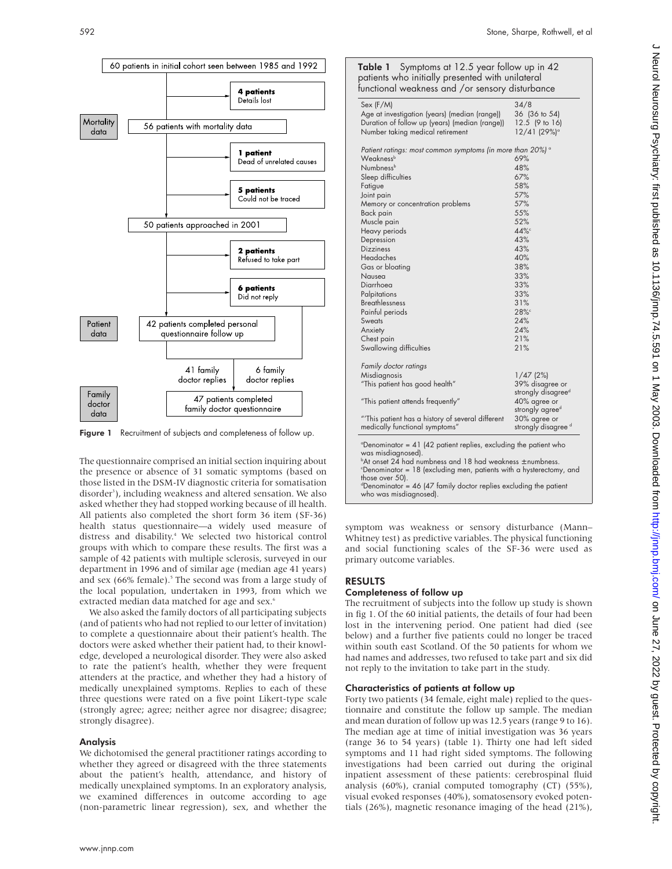

Figure 1 Recruitment of subjects and completeness of follow up.

The questionnaire comprised an initial section inquiring about the presence or absence of 31 somatic symptoms (based on those listed in the DSM-IV diagnostic criteria for somatisation disorder<sup>3</sup>), including weakness and altered sensation. We also asked whether they had stopped working because of ill health. All patients also completed the short form 36 item (SF-36) health status questionnaire—a widely used measure of distress and disability.<sup>4</sup> We selected two historical control groups with which to compare these results. The first was a sample of 42 patients with multiple sclerosis, surveyed in our department in 1996 and of similar age (median age 41 years) and sex (66% female).<sup>5</sup> The second was from a large study of the local population, undertaken in 1993, from which we extracted median data matched for age and sex.<sup>6</sup>

We also asked the family doctors of all participating subjects (and of patients who had not replied to our letter of invitation) to complete a questionnaire about their patient's health. The doctors were asked whether their patient had, to their knowledge, developed a neurological disorder. They were also asked to rate the patient's health, whether they were frequent attenders at the practice, and whether they had a history of medically unexplained symptoms. Replies to each of these three questions were rated on a five point Likert-type scale (strongly agree; agree; neither agree nor disagree; disagree; strongly disagree).

## Analysis

We dichotomised the general practitioner ratings according to whether they agreed or disagreed with the three statements about the patient's health, attendance, and history of medically unexplained symptoms. In an exploratory analysis, we examined differences in outcome according to age (non-parametric linear regression), sex, and whether the

| Symptoms at 12.5 year follow up in 42<br>Table 1<br>patients who initially presented with unilateral<br>functional weakness and /or sensory disturbance                                                                                                                                                                                                                                                                                                                           |                                                                                                                                                                        |
|-----------------------------------------------------------------------------------------------------------------------------------------------------------------------------------------------------------------------------------------------------------------------------------------------------------------------------------------------------------------------------------------------------------------------------------------------------------------------------------|------------------------------------------------------------------------------------------------------------------------------------------------------------------------|
| Sex (F/M)<br>Age at investigation (years) (median (range))<br>Duration of follow up (years) (median (range))<br>Number taking medical retirement                                                                                                                                                                                                                                                                                                                                  | 34/8<br>36 (36 to 54)<br>12.5 (9 to 16)<br>12/41 (29%) <sup>°</sup>                                                                                                    |
| Patient ratings: most common symptoms (in more than 20%) <sup>a</sup><br><b>Weakness</b> <sup>b</sup><br>Numbness <sup>b</sup><br>Sleep difficulties<br>Fatigue<br>Joint pain<br>Memory or concentration problems<br>Back pain<br>Muscle pain<br>Heavy periods<br>Depression<br><b>Dizziness</b><br>Headaches<br>Gas or bloating<br>Nausea<br>Diarrhoea<br>Palpitations<br><b>Breathlessness</b><br>Painful periods<br>Sweats<br>Anxiety<br>Chest pain<br>Swallowing difficulties | 69%<br>48%<br>67%<br>58%<br>57%<br>57%<br>55%<br>52%<br>$44\%$<br>43%<br>43%<br>40%<br>38%<br>33%<br>33%<br>33%<br>31%<br>28% <sup>c</sup><br>24%<br>24%<br>21%<br>21% |
| Family doctor ratings<br>Misdiagnosis<br>"This patient has good health"<br>"This patient attends frequently"<br>"This patient has a history of several different<br>medically functional symptoms"                                                                                                                                                                                                                                                                                | $1/47$ (2%)<br>39% disagree or<br>strongly disagreed<br>40% agree or<br>strongly agreed<br>30% agree or<br>strongly disagree <sup>d</sup>                              |
| $\degree$ Denominator = 41 (42 patient replies, excluding the patient who<br>was misdiagnosed).<br>$b$ At onset 24 had numbness and 18 had weakness $\pm$ numbness.<br><i>Penominator = 18 (excluding men, patients with a hysterectomy, and</i><br>those over $50$ .<br><sup>d</sup> Denominator = 46 (47 family doctor replies excluding the patient<br>who was misdiagnosed).                                                                                                  |                                                                                                                                                                        |

symptom was weakness or sensory disturbance (Mann– Whitney test) as predictive variables. The physical functioning and social functioning scales of the SF-36 were used as primary outcome variables.

# RESULTS

## Completeness of follow up

The recruitment of subjects into the follow up study is shown in fig 1. Of the 60 initial patients, the details of four had been lost in the intervening period. One patient had died (see below) and a further five patients could no longer be traced within south east Scotland. Of the 50 patients for whom we had names and addresses, two refused to take part and six did not reply to the invitation to take part in the study.

## Characteristics of patients at follow up

Forty two patients (34 female, eight male) replied to the questionnaire and constitute the follow up sample. The median and mean duration of follow up was 12.5 years (range 9 to 16). The median age at time of initial investigation was 36 years (range 36 to 54 years) (table 1). Thirty one had left sided symptoms and 11 had right sided symptoms. The following investigations had been carried out during the original inpatient assessment of these patients: cerebrospinal fluid analysis (60%), cranial computed tomography (CT) (55%), visual evoked responses (40%), somatosensory evoked potentials (26%), magnetic resonance imaging of the head (21%),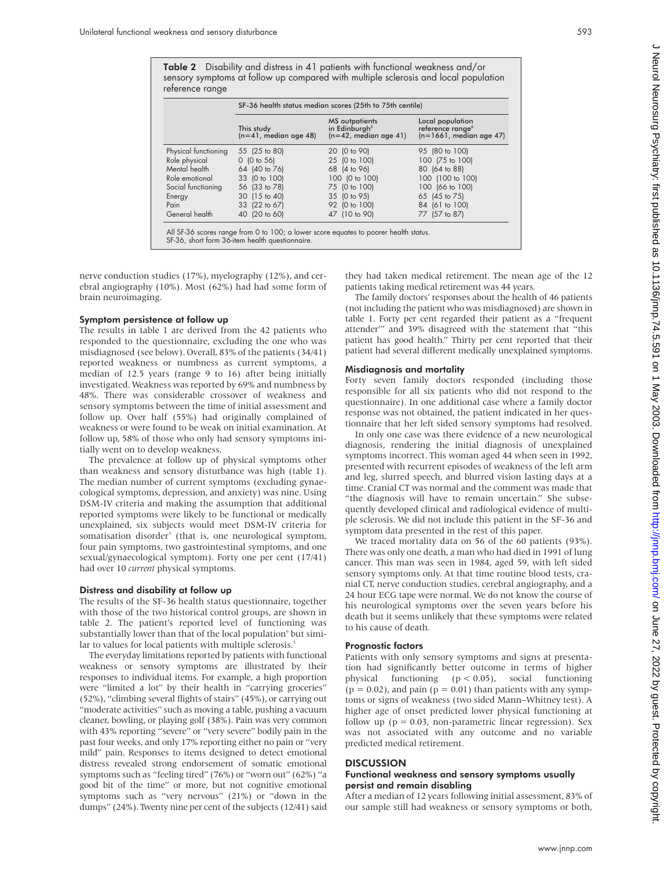Table 2 Disability and distress in 41 patients with functional weakness and/or sensory symptoms at follow up compared with multiple sclerosis and local population reference range

|                      | This study<br>$(n=41)$ , median age 48) | <b>MS</b> outpatients<br>in Edinburgh <sup>5</sup><br>$(n=42, \text{median age } 41)$ | Local population<br>reference range <sup>6</sup><br>$(n=1661, \text{median age } 47)$ |
|----------------------|-----------------------------------------|---------------------------------------------------------------------------------------|---------------------------------------------------------------------------------------|
| Physical functioning | 55 (25 to 80)                           | 20 (0 to 90)                                                                          | 95 (80 to 100)                                                                        |
| Role physical        | $0 \; (0 \; \text{to} \; 56)$           | 25 (0 to 100)                                                                         | 100 (75 to 100)                                                                       |
| Mental health        | 64 (40 to 76)                           | 68 (4 to 96)                                                                          | 80 (64 to 88)                                                                         |
| Role emotional       | 33 (0 to 100)                           | 100 (0 to 100)                                                                        | 100 (100 to 100)                                                                      |
| Social functioning   | 56 (33 to 78)                           | 75 (0 to 100)                                                                         | 100 (66 to 100)                                                                       |
| Energy               | 30 (15 to 40)                           | 35 (0 to 95)                                                                          | 65 (45 to 75)                                                                         |
| Pain                 | 33 (22 to 67)                           | 92 (0 to 100)                                                                         | 84 (61 to 100)                                                                        |
| General health       | 40 (20 to 60)                           | 47 (10 to 90)                                                                         | 77 (57 to 87)                                                                         |

nerve conduction studies (17%), myelography (12%), and cerebral angiography (10%). Most (62%) had had some form of brain neuroimaging.

### Symptom persistence at follow up

The results in table 1 are derived from the 42 patients who responded to the questionnaire, excluding the one who was misdiagnosed (see below). Overall, 83% of the patients (34/41) reported weakness or numbness as current symptoms, a median of 12.5 years (range 9 to 16) after being initially investigated. Weakness was reported by 69% and numbness by 48%. There was considerable crossover of weakness and sensory symptoms between the time of initial assessment and follow up. Over half (55%) had originally complained of weakness or were found to be weak on initial examination. At follow up, 58% of those who only had sensory symptoms initially went on to develop weakness.

The prevalence at follow up of physical symptoms other than weakness and sensory disturbance was high (table 1). The median number of current symptoms (excluding gynaecological symptoms, depression, and anxiety) was nine. Using DSM-IV criteria and making the assumption that additional reported symptoms were likely to be functional or medically unexplained, six subjects would meet DSM-IV criteria for somatisation disorder<sup>3</sup> (that is, one neurological symptom, four pain symptoms, two gastrointestinal symptoms, and one sexual/gynaecological symptom). Forty one per cent (17/41) had over 10 *current* physical symptoms.

### Distress and disability at follow up

The results of the SF-36 health status questionnaire, together with those of the two historical control groups, are shown in table 2. The patient's reported level of functioning was substantially lower than that of the local population<sup>6</sup> but similar to values for local patients with multiple sclerosis.<sup>5</sup>

The everyday limitations reported by patients with functional weakness or sensory symptoms are illustrated by their responses to individual items. For example, a high proportion were "limited a lot" by their health in "carrying groceries" (52%), "climbing several flights of stairs" (45%), or carrying out "moderate activities" such as moving a table, pushing a vacuum cleaner, bowling, or playing golf (38%). Pain was very common with 43% reporting "severe" or "very severe" bodily pain in the past four weeks, and only 17% reporting either no pain or "very mild" pain. Responses to items designed to detect emotional distress revealed strong endorsement of somatic emotional symptoms such as "feeling tired" (76%) or "worn out" (62%) "a good bit of the time" or more, but not cognitive emotional symptoms such as "very nervous" (21%) or "down in the dumps" (24%). Twenty nine per cent of the subjects (12/41) said

they had taken medical retirement. The mean age of the 12 patients taking medical retirement was 44 years.

The family doctors' responses about the health of 46 patients (not including the patient who was misdiagnosed) are shown in table 1. Forty per cent regarded their patient as a "frequent attender'" and 39% disagreed with the statement that "this patient has good health." Thirty per cent reported that their patient had several different medically unexplained symptoms.

#### Misdiagnosis and mortality

Forty seven family doctors responded (including those responsible for all six patients who did not respond to the questionnaire). In one additional case where a family doctor response was not obtained, the patient indicated in her questionnaire that her left sided sensory symptoms had resolved.

In only one case was there evidence of a new neurological diagnosis, rendering the initial diagnosis of unexplained symptoms incorrect. This woman aged 44 when seen in 1992, presented with recurrent episodes of weakness of the left arm and leg, slurred speech, and blurred vision lasting days at a time. Cranial CT was normal and the comment was made that "the diagnosis will have to remain uncertain." She subsequently developed clinical and radiological evidence of multiple sclerosis. We did not include this patient in the SF-36 and symptom data presented in the rest of this paper.

We traced mortality data on 56 of the 60 patients (93%). There was only one death, a man who had died in 1991 of lung cancer. This man was seen in 1984, aged 59, with left sided sensory symptoms only. At that time routine blood tests, cranial CT, nerve conduction studies, cerebral angiography, and a 24 hour ECG tape were normal. We do not know the course of his neurological symptoms over the seven years before his death but it seems unlikely that these symptoms were related to his cause of death.

#### Prognostic factors

Patients with only sensory symptoms and signs at presentation had significantly better outcome in terms of higher physical functioning (p < 0.05), social functioning  $(p = 0.02)$ , and pain  $(p = 0.01)$  than patients with any symptoms or signs of weakness (two sided Mann–Whitney test). A higher age of onset predicted lower physical functioning at follow up ( $p = 0.03$ , non-parametric linear regression). Sex was not associated with any outcome and no variable predicted medical retirement.

# **DISCUSSION**

# Functional weakness and sensory symptoms usually persist and remain disabling

After a median of 12 years following initial assessment, 83% of our sample still had weakness or sensory symptoms or both,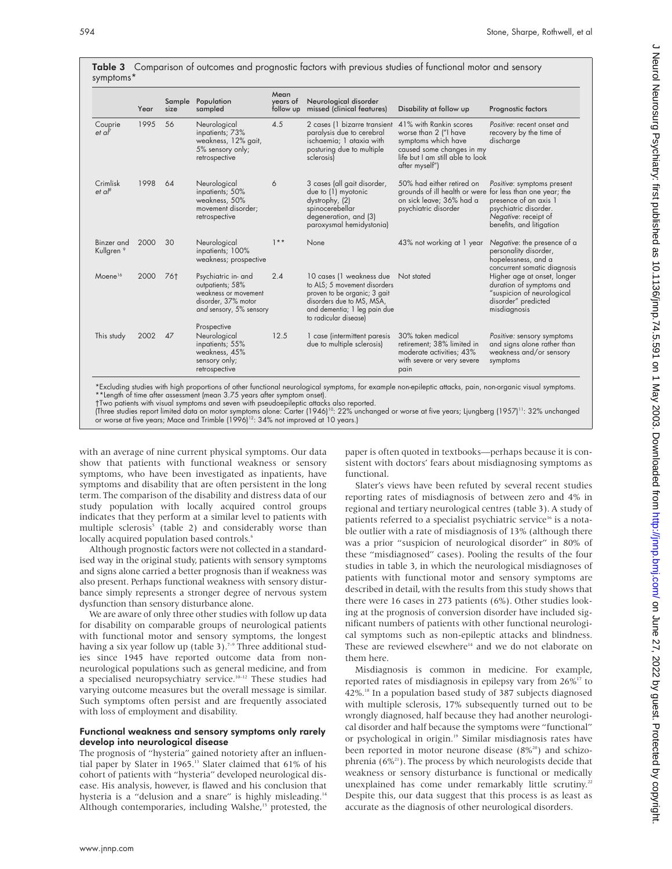|                                     | Year | Sample<br>size | Population<br>sampled                                                                                             | Mean<br>years of<br>follow up | Neurological disorder<br>missed (clinical features)                                                                                                                                       | Disability at follow up                                                                                                                                   | Prognostic factors                                                                                                               |
|-------------------------------------|------|----------------|-------------------------------------------------------------------------------------------------------------------|-------------------------------|-------------------------------------------------------------------------------------------------------------------------------------------------------------------------------------------|-----------------------------------------------------------------------------------------------------------------------------------------------------------|----------------------------------------------------------------------------------------------------------------------------------|
| Couprie<br>et al                    | 1995 | 56             | Neurological<br>inpatients; 73%<br>weakness, 12% gait,<br>5% sensory only;<br>retrospective                       | 4.5                           | 2 cases (1 bizarre transient<br>paralysis due to cerebral<br>ischaemia; 1 ataxia with<br>posturing due to multiple<br>sclerosis)                                                          | 41% with Rankin scores<br>worse than 2 ("I have<br>symptoms which have<br>caused some changes in my<br>life but I am still able to look<br>after myself") | Positive: recent onset and<br>recovery by the time of<br>discharge                                                               |
| Crimlisk<br>et $al^8$               | 1998 | 64             | Neurological<br>inpatients; 50%<br>weakness, 50%<br>movement disorder;<br>retrospective                           | 6                             | 3 cases (all gait disorder,<br>due to (1) myotonic<br>dystrophy, (2)<br>spinocerebellar<br>degeneration, and (3)<br>paroxysmal hemidystonia)                                              | 50% had either retired on<br>grounds of ill health or were for less than one year; the<br>on sick leave; 36% had a<br>psychiatric disorder                | Positive: symptoms present<br>presence of an axis 1<br>psychiatric disorder.<br>Negative: receipt of<br>benefits, and litigation |
| Binzer and<br>Kullgren <sup>9</sup> | 2000 | 30             | Neurological<br>inpatients; 100%<br>weakness; prospective                                                         | $1**$                         | None                                                                                                                                                                                      | 43% not working at 1 year                                                                                                                                 | Negative: the presence of a<br>personality disorder,<br>hopelessness, and a<br>concurrent somatic diagnosis                      |
| Moene <sup>16</sup>                 | 2000 | 76†            | Psychiatric in- and<br>outpatients; 58%<br>weakness or movement<br>disorder, 37% motor<br>and sensory, 5% sensory | 2.4                           | 10 cases (1 weakness due Not stated<br>to ALS; 5 movement disorders<br>proven to be organic; 3 gait<br>disorders due to MS, MSA,<br>and dementia; 1 leg pain due<br>to radicular disease) |                                                                                                                                                           | Higher age at onset, longer<br>duration of symptoms and<br>"suspicion of neurological<br>disorder" predicted<br>misdiagnosis     |
| This study                          | 2002 | 47             | Prospective<br>Neurological<br>inpatients; 55%<br>weakness, 45%<br>sensory only;<br>retrospective                 | 12.5                          | 1 case (intermittent paresis<br>due to multiple sclerosis)                                                                                                                                | 30% taken medical<br>retirement; 38% limited in<br>moderate activities; 43%<br>with severe or very severe<br>pain                                         | Positive: sensory symptoms<br>and signs alone rather than<br>weakness and/or sensory<br>symptoms                                 |

Table 3 Comparison of outcomes and prognostic factors with previous studies of functional motor and sensory symptoms\*

†Two patients with visual symptoms and seven with pseudoepileptic attacks also reported.<br>(Three studies report limited data on motor symptoms alone: Carter (1946)<sup>10</sup>: 22% unchanged or worse at five years; Ljungberg (1957) or worse at five years; Mace and Trimble (1996)12: 34% not improved at 10 years.)

with an average of nine current physical symptoms. Our data show that patients with functional weakness or sensory symptoms, who have been investigated as inpatients, have symptoms and disability that are often persistent in the long term. The comparison of the disability and distress data of our study population with locally acquired control groups indicates that they perform at a similar level to patients with multiple sclerosis<sup>5</sup> (table 2) and considerably worse than locally acquired population based controls.<sup>6</sup>

Although prognostic factors were not collected in a standardised way in the original study, patients with sensory symptoms and signs alone carried a better prognosis than if weakness was also present. Perhaps functional weakness with sensory disturbance simply represents a stronger degree of nervous system dysfunction than sensory disturbance alone.

We are aware of only three other studies with follow up data for disability on comparable groups of neurological patients with functional motor and sensory symptoms, the longest having a six year follow up (table 3).<sup>7-9</sup> Three additional studies since 1945 have reported outcome data from nonneurological populations such as general medicine, and from a specialised neuropsychiatry service.<sup>10-12</sup> These studies had varying outcome measures but the overall message is similar. Such symptoms often persist and are frequently associated with loss of employment and disability.

## Functional weakness and sensory symptoms only rarely develop into neurological disease

The prognosis of "hysteria" gained notoriety after an influential paper by Slater in 1965.<sup>13</sup> Slater claimed that  $61\%$  of his cohort of patients with "hysteria" developed neurological disease. His analysis, however, is flawed and his conclusion that hysteria is a "delusion and a snare" is highly misleading.<sup>14</sup> Although contemporaries, including Walshe,<sup>15</sup> protested, the paper is often quoted in textbooks—perhaps because it is consistent with doctors' fears about misdiagnosing symptoms as functional.

Slater's views have been refuted by several recent studies reporting rates of misdiagnosis of between zero and 4% in regional and tertiary neurological centres (table 3). A study of patients referred to a specialist psychiatric service<sup>16</sup> is a notable outlier with a rate of misdiagnosis of 13% (although there was a prior "suspicion of neurological disorder" in 80% of these "misdiagnosed" cases). Pooling the results of the four studies in table 3, in which the neurological misdiagnoses of patients with functional motor and sensory symptoms are described in detail, with the results from this study shows that there were 16 cases in 273 patients (6%). Other studies looking at the prognosis of conversion disorder have included significant numbers of patients with other functional neurological symptoms such as non-epileptic attacks and blindness. These are reviewed elsewhere<sup>14</sup> and we do not elaborate on them here.

Misdiagnosis is common in medicine. For example, reported rates of misdiagnosis in epilepsy vary from 26%<sup>17</sup> to 42%.18 In a population based study of 387 subjects diagnosed with multiple sclerosis, 17% subsequently turned out to be wrongly diagnosed, half because they had another neurological disorder and half because the symptoms were "functional" or psychological in origin.19 Similar misdiagnosis rates have been reported in motor neurone disease  $(8\%)$  and schizophrenia  $(6\%)$ <sup>21</sup>). The process by which neurologists decide that weakness or sensory disturbance is functional or medically unexplained has come under remarkably little scrutiny.<sup>22</sup> Despite this, our data suggest that this process is as least as accurate as the diagnosis of other neurological disorders.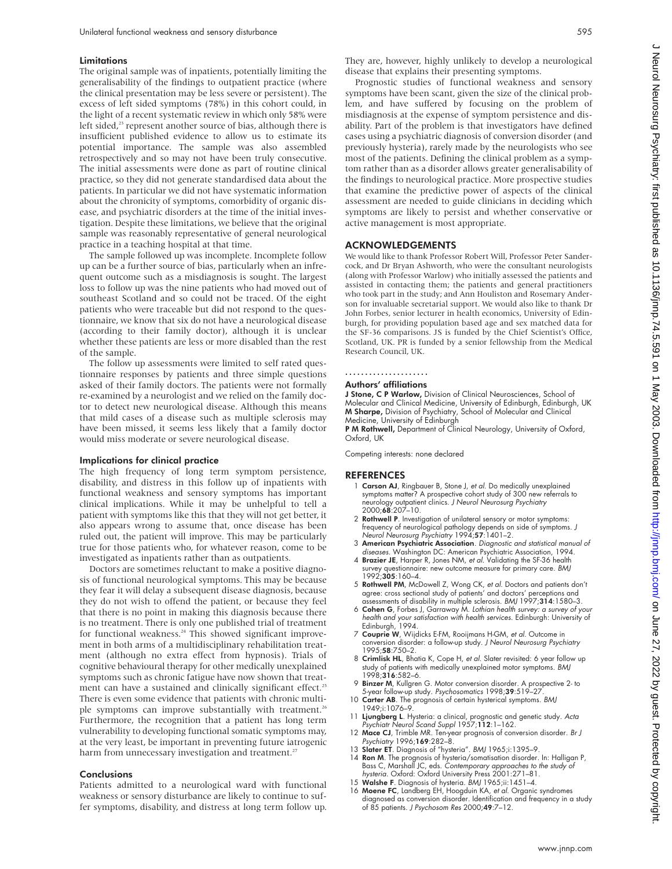#### Limitations

The original sample was of inpatients, potentially limiting the generalisability of the findings to outpatient practice (where the clinical presentation may be less severe or persistent). The excess of left sided symptoms (78%) in this cohort could, in the light of a recent systematic review in which only 58% were left sided,<sup>23</sup> represent another source of bias, although there is insufficient published evidence to allow us to estimate its potential importance. The sample was also assembled retrospectively and so may not have been truly consecutive. The initial assessments were done as part of routine clinical practice, so they did not generate standardised data about the patients. In particular we did not have systematic information about the chronicity of symptoms, comorbidity of organic disease, and psychiatric disorders at the time of the initial investigation. Despite these limitations, we believe that the original sample was reasonably representative of general neurological practice in a teaching hospital at that time.

The sample followed up was incomplete. Incomplete follow up can be a further source of bias, particularly when an infrequent outcome such as a misdiagnosis is sought. The largest loss to follow up was the nine patients who had moved out of southeast Scotland and so could not be traced. Of the eight patients who were traceable but did not respond to the questionnaire, we know that six do not have a neurological disease (according to their family doctor), although it is unclear whether these patients are less or more disabled than the rest of the sample.

The follow up assessments were limited to self rated questionnaire responses by patients and three simple questions asked of their family doctors. The patients were not formally re-examined by a neurologist and we relied on the family doctor to detect new neurological disease. Although this means that mild cases of a disease such as multiple sclerosis may have been missed, it seems less likely that a family doctor would miss moderate or severe neurological disease.

#### Implications for clinical practice

The high frequency of long term symptom persistence, disability, and distress in this follow up of inpatients with functional weakness and sensory symptoms has important clinical implications. While it may be unhelpful to tell a patient with symptoms like this that they will not get better, it also appears wrong to assume that, once disease has been ruled out, the patient will improve. This may be particularly true for those patients who, for whatever reason, come to be investigated as inpatients rather than as outpatients.

Doctors are sometimes reluctant to make a positive diagnosis of functional neurological symptoms. This may be because they fear it will delay a subsequent disease diagnosis, because they do not wish to offend the patient, or because they feel that there is no point in making this diagnosis because there is no treatment. There is only one published trial of treatment for functional weakness.<sup>24</sup> This showed significant improvement in both arms of a multidisciplinary rehabilitation treatment (although no extra effect from hypnosis). Trials of cognitive behavioural therapy for other medically unexplained symptoms such as chronic fatigue have now shown that treatment can have a sustained and clinically significant effect.<sup>25</sup> There is even some evidence that patients with chronic multiple symptoms can improve substantially with treatment.<sup>26</sup> Furthermore, the recognition that a patient has long term vulnerability to developing functional somatic symptoms may, at the very least, be important in preventing future iatrogenic harm from unnecessary investigation and treatment.<sup>27</sup>

#### Conclusions

Patients admitted to a neurological ward with functional weakness or sensory disturbance are likely to continue to suffer symptoms, disability, and distress at long term follow up.

They are, however, highly unlikely to develop a neurological disease that explains their presenting symptoms.

Prognostic studies of functional weakness and sensory symptoms have been scant, given the size of the clinical problem, and have suffered by focusing on the problem of misdiagnosis at the expense of symptom persistence and disability. Part of the problem is that investigators have defined cases using a psychiatric diagnosis of conversion disorder (and previously hysteria), rarely made by the neurologists who see most of the patients. Defining the clinical problem as a symptom rather than as a disorder allows greater generalisability of the findings to neurological practice. More prospective studies that examine the predictive power of aspects of the clinical assessment are needed to guide clinicians in deciding which symptoms are likely to persist and whether conservative or active management is most appropriate.

#### ACKNOWLEDGEMENTS

We would like to thank Professor Robert Will, Professor Peter Sandercock, and Dr Bryan Ashworth, who were the consultant neurologists (along with Professor Warlow) who initially assessed the patients and assisted in contacting them; the patients and general practitioners who took part in the study; and Ann Houliston and Rosemary Anderson for invaluable secretarial support. We would also like to thank Dr John Forbes, senior lecturer in health economics, University of Edinburgh, for providing population based age and sex matched data for the SF-36 comparisons. JS is funded by the Chief Scientist's Office, Scotland, UK. PR is funded by a senior fellowship from the Medical Research Council, UK.

# .....................

#### Authors' affiliations

**J Stone, C P Warlow,** Division of Clinical Neurosciences, School of<br>Molecular and Clinical Medicine, University of Edinburgh, Edinburgh, UK **M Sharpe,** Division of Psychiatry, School of Molecular and Clinical<br>Medicine, University of Edinburgh

P M Rothwell, Department of Clinical Neurology, University of Oxford, Oxford, UK

Competing interests: none declared

#### **REFERENCES**

- 1 Carson AJ, Ringbauer B, Stone J, et al. Do medically unexplained symptoms matter? A prospective cohort study of 300 new referrals to neurology outpatient clinics. *J Neurol Neurosurg Psychiatry*<br>2000;**68**:207–10.
- 2 Rothwell P. Investigation of unilateral sensory or motor symptoms: frequency of neurological pathology depends on side of symptoms. J Neurol Neurosurg Psychiatry 1994;57:1401-2.
- 3 American Psychiatric Association. Diagnostic and statistical manual of diseases. Washington DC: American Psychiatric Association, 1994.<br>4 Brazier JE, Harper R, Jones NM, *et al*. Validating the SF-36 health
- survey questionnaire: new outcome measure for primary care. BMJ 1992;305:160–4.
- 5 Rothwell PM, McDowell Z, Wong CK, et al. Doctors and patients don't agree: cross sectional study of patients' and doctors' perceptions and assessments of disability in multiple sclerosis. BMJ 1997;314:1580-3.
- 6 Cohen G, Forbes J, Garraway M. Lothian health survey: <sup>a</sup> survey of your health and your satisfaction with health services. Edinburgh: University of Edinburgh, 1994.
- 7 Couprie W, Wijdicks E-FM, Rooijmans H-GM, et al. Outcome in conversion disorder: a follow-up study. J Neurol Neurosurg Psychiatry 1995;58:750–2.
- 8 Crimlisk HL, Bhatia K, Cope H, et al. Slater revisited: 6 year follow up study of patients with medically unexplained motor symptoms. BMJ 1998;316:582–6.
- 9 Binzer M, Kullgren G. Motor conversion disorder. A prospective 2-to 5-year follow-up study. Psychosomatics 1998;39:519–27
- 10 Carter AB. The prognosis of certain hysterical symptoms. BMJ 1949;i:1076–9.
- 11 Ljungberg L. Hysteria: a clinical, prognostic and genetic study. Acta Psychiatr Neurol Scand Suppl 1957;112:1–162.
- 12 Mace CJ, Trimble MR. Ten-year prognosis of conversion disorder. Br J Psychiatry 1996;169:282–8.
- 13 Slater ET. Diagnosis of "hysteria". BMJ 1965;i:1395-9.
- 14 Ron M. The prognosis of hysteria/somatisation disorder. In: Halligan P, Bass C, Marshall JC, eds. Contemporary approaches to the study of hysteria. Oxford: Oxford University Press 2001:271–81.
- 15 Walshe F. Diagnosis of hysteria. BMJ 1965;ii:1451-4.
- 16 Moene FC, Landberg EH, Hoogduin KA, et al. Organic syndromes diagnosed as conversion disorder. Identification and frequency in a study of 85 patients. J Psychosom Res 2000;49:7–12.